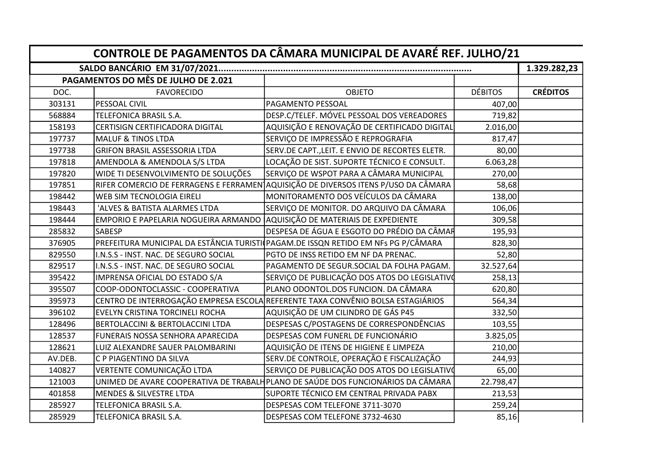| CONTROLE DE PAGAMENTOS DA CÂMARA MUNICIPAL DE AVARÉ REF. JULHO/21 |                                                                           |                                                                                    |                |                 |  |  |  |
|-------------------------------------------------------------------|---------------------------------------------------------------------------|------------------------------------------------------------------------------------|----------------|-----------------|--|--|--|
|                                                                   |                                                                           |                                                                                    |                |                 |  |  |  |
|                                                                   | PAGAMENTOS DO MÊS DE JULHO DE 2.021                                       |                                                                                    |                |                 |  |  |  |
| DOC.                                                              | <b>FAVORECIDO</b>                                                         | <b>OBJETO</b>                                                                      | <b>DÉBITOS</b> | <b>CRÉDITOS</b> |  |  |  |
| 303131                                                            | PESSOAL CIVIL                                                             | PAGAMENTO PESSOAL                                                                  | 407,00         |                 |  |  |  |
| 568884                                                            | TELEFONICA BRASIL S.A.                                                    | DESP.C/TELEF. MÓVEL PESSOAL DOS VEREADORES                                         | 719,82         |                 |  |  |  |
| 158193                                                            | <b>CERTISIGN CERTIFICADORA DIGITAL</b>                                    | AQUISIÇÃO E RENOVAÇÃO DE CERTIFICADO DIGITAL                                       | 2.016,00       |                 |  |  |  |
| 197737                                                            | <b>MALUF &amp; TINOS LTDA</b>                                             | SERVIÇO DE IMPRESSÃO E REPROGRAFIA                                                 | 817,47         |                 |  |  |  |
| 197738                                                            | <b>GRIFON BRASIL ASSESSORIA LTDA</b>                                      | SERV.DE CAPT., LEIT. E ENVIO DE RECORTES ELETR.                                    | 80,00          |                 |  |  |  |
| 197818                                                            | AMENDOLA & AMENDOLA S/S LTDA                                              | LOCAÇÃO DE SIST. SUPORTE TÉCNICO E CONSULT.                                        | 6.063,28       |                 |  |  |  |
| 197820                                                            | WIDE TI DESENVOLVIMENTO DE SOLUÇÕES                                       | SERVIÇO DE WSPOT PARA A CÂMARA MUNICIPAL                                           | 270,00         |                 |  |  |  |
| 197851                                                            |                                                                           | RIFER COMERCIO DE FERRAGENS E FERRAMEN AQUISIÇÃO DE DIVERSOS ITENS P/USO DA CÂMARA | 58,68          |                 |  |  |  |
| 198442                                                            | WEB SIM TECNOLOGIA EIRELI                                                 | MONITORAMENTO DOS VEÍCULOS DA CÂMARA                                               | 138,00         |                 |  |  |  |
| 198443                                                            | 'ALVES & BATISTA ALARMES LTDA                                             | SERVIÇO DE MONITOR. DO ARQUIVO DA CÂMARA                                           | 106,06         |                 |  |  |  |
| 198444                                                            | EMPORIO E PAPELARIA NOGUEIRA ARMANDO AQUISIÇÃO DE MATERIAIS DE EXPEDIENTE |                                                                                    | 309,58         |                 |  |  |  |
| 285832                                                            | SABESP                                                                    | DESPESA DE ÁGUA E ESGOTO DO PRÉDIO DA CÂMAR                                        | 195,93         |                 |  |  |  |
| 376905                                                            |                                                                           | PREFEITURA MUNICIPAL DA ESTÂNCIA TURISTI (PAGAM.DE ISSQN RETIDO EM NFS PG P/CÂMARA | 828,30         |                 |  |  |  |
| 829550                                                            | I.N.S.S - INST. NAC. DE SEGURO SOCIAL                                     | PGTO DE INSS RETIDO EM NF DA PRENAC.                                               | 52,80          |                 |  |  |  |
| 829517                                                            | I.N.S.S - INST. NAC. DE SEGURO SOCIAL                                     | PAGAMENTO DE SEGUR.SOCIAL DA FOLHA PAGAM.                                          | 32.527,64      |                 |  |  |  |
| 395422                                                            | IMPRENSA OFICIAL DO ESTADO S/A                                            | SERVIÇO DE PUBLICAÇÃO DOS ATOS DO LEGISLATIVO                                      | 258,13         |                 |  |  |  |
| 395507                                                            | COOP-ODONTOCLASSIC - COOPERATIVA                                          | PLANO ODONTOL.DOS FUNCION. DA CÂMARA                                               | 620,80         |                 |  |  |  |
| 395973                                                            |                                                                           | CENTRO DE INTERROGAÇÃO EMPRESA ESCOLA REFERENTE TAXA CONVÊNIO BOLSA ESTAGIÁRIOS    | 564,34         |                 |  |  |  |
| 396102                                                            | EVELYN CRISTINA TORCINELI ROCHA                                           | AQUISIÇÃO DE UM CILINDRO DE GÁS P45                                                | 332,50         |                 |  |  |  |
| 128496                                                            | BERTOLACCINI & BERTOLACCINI LTDA                                          | DESPESAS C/POSTAGENS DE CORRESPONDÊNCIAS                                           | 103,55         |                 |  |  |  |
| 128537                                                            | FUNERAIS NOSSA SENHORA APARECIDA                                          | DESPESAS COM FUNERL DE FUNCIONÁRIO                                                 | 3.825,05       |                 |  |  |  |
| 128621                                                            | LUIZ ALEXANDRE SAUER PALOMBARINI                                          | AQUISIÇÃO DE ITENS DE HIGIENE E LIMPEZA                                            | 210,00         |                 |  |  |  |
| AV.DEB.                                                           | C P PIAGENTINO DA SILVA                                                   | SERV.DE CONTROLE, OPERAÇÃO E FISCALIZAÇÃO                                          | 244,93         |                 |  |  |  |
| 140827                                                            | VERTENTE COMUNICAÇÃO LTDA                                                 | SERVIÇO DE PUBLICAÇÃO DOS ATOS DO LEGISLATIVO                                      | 65,00          |                 |  |  |  |
| 121003                                                            |                                                                           | UNIMED DE AVARE COOPERATIVA DE TRABALHPLANO DE SAÚDE DOS FUNCIONÁRIOS DA CÂMARA    | 22.798,47      |                 |  |  |  |
| 401858                                                            | MENDES & SILVESTRE LTDA                                                   | SUPORTE TÉCNICO EM CENTRAL PRIVADA PABX                                            | 213,53         |                 |  |  |  |
| 285927                                                            | TELEFONICA BRASIL S.A.                                                    | DESPESAS COM TELEFONE 3711-3070                                                    | 259,24         |                 |  |  |  |
| 285929                                                            | TELEFONICA BRASIL S.A.                                                    | DESPESAS COM TELEFONE 3732-4630                                                    | 85,16          |                 |  |  |  |